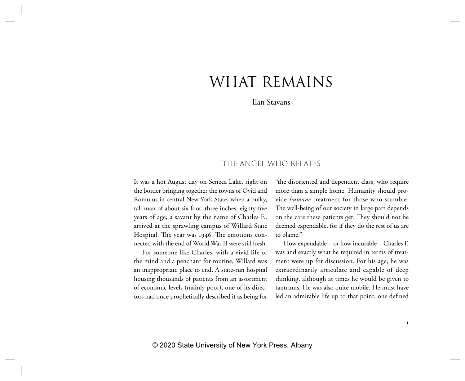# WHAT REMAINS

Ilan Stavans

# THE ANGEL WHO RELATES

It was a hot August day on Seneca Lake, right on the border bringing together the towns of Ovid and Romulus in central New York State, when a bulky, tall man of about six foot, three inches, eighty-five years of age, a savant by the name of Charles F., arrived at the sprawling campus of Willard State Hospital. The year was 1946. The emotions connected with the end of World War II were still fresh.

For someone like Charles, with a vivid life of the mind and a penchant for routine, Willard was an inappropriate place to end. A state-run hospital housing thousands of patients from an assortment of economic levels (mainly poor), one of its directors had once prophetically described it as being for "the disoriented and dependent class, who require more than a simple home. Humanity should provide *humane* treatment for those who stumble. The well-being of our society in large part depends on the care these patients get. They should not be deemed expendable, for if they do the rest of us are to blame."

How expendable—or how incurable—Charles F. was and exactly what he required in terms of treatment were up for discussion. For his age, he was extraordinarily articulate and capable of deep thinking, although at times he would be given to tantrums. He was also quite mobile. He must have led an admirable life up to that point, one defined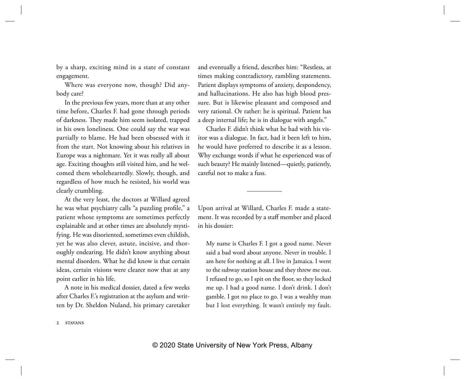by a sharp, exciting mind in a state of constant engagement.

Where was everyone now, though? Did anybody care?

In the previous few years, more than at any other time before, Charles F. had gone through periods of darkness. They made him seem isolated, trapped in his own loneliness. One could say the war was partially to blame. He had been obsessed with it from the start. Not knowing about his relatives in Europe was a nightmare. Yet it was really all about age. Exciting thoughts still visited him, and he welcomed them wholeheartedly. Slowly, though, and regardless of how much he resisted, his world was clearly crumbling.

At the very least, the doctors at Willard agreed he was what psychiatry calls "a puzzling profile," a patient whose symptoms are sometimes perfectly explainable and at other times are absolutely mystifying. He was disoriented, sometimes even childish, yet he was also clever, astute, incisive, and thoroughly endearing. He didn't know anything about mental disorders. What he did know is that certain ideas, certain visions were clearer now that at any point earlier in his life.

A note in his medical dossier, dated a few weeks after Charles F.'s registration at the asylum and written by Dr. Sheldon Nuland, his primary caretaker and eventually a friend, describes him: "Restless, at times making contradictory, rambling statements. Patient displays symptoms of anxiety, despondency, and hallucinations. He also has high blood pressure. But is likewise pleasant and composed and very rational. Or rather: he is spiritual. Patient has a deep internal life; he is in dialogue with angels."

Charles F. didn't think what he had with his visitor was a dialogue. In fact, had it been left to him, he would have preferred to describe it as a lesson. Why exchange words if what he experienced was of such beauty? He mainly listened—quietly, patiently, careful not to make a fuss.

Upon arrival at Willard, Charles F. made a statement. It was recorded by a staff member and placed in his dossier:

My name is Charles F. I got a good name. Never said a bad word about anyone. Never in trouble. I am here for nothing at all. I live in Jamaica. I went to the subway station house and they threw me out. I refused to go, so I spit on the floor, so they locked me up. I had a good name. I don't drink. I don't gamble. I got no place to go. I was a wealthy man but I lost everything. It wasn't entirely my fault.

2 stavans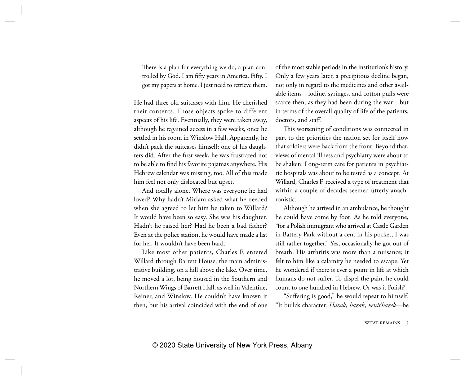There is a plan for everything we do, a plan controlled by God. I am fifty years in America. Fifty. I got my papers at home. I just need to retrieve them.

He had three old suitcases with him. He cherished their contents. Those objects spoke to different aspects of his life. Eventually, they were taken away, although he regained access in a few weeks, once he settled in his room in Winslow Hall. Apparently, he didn't pack the suitcases himself; one of his daughters did. After the first week, he was frustrated not to be able to find his favorite pajamas anywhere. His Hebrew calendar was missing, too. All of this made him feel not only dislocated but upset.

And totally alone. Where was everyone he had loved? Why hadn't Miriam asked what he needed when she agreed to let him be taken to Willard? It would have been so easy. She was his daughter. Hadn't he raised her? Had he been a bad father? Even at the police station, he would have made a list for her. It wouldn't have been hard.

Like most other patients, Charles F. entered Willard through Barrett House, the main administrative building, on a hill above the lake. Over time, he moved a lot, being housed in the Southern and Northern Wings of Barrett Hall, as well in Valentine, Reiner, and Winslow. He couldn't have known it then, but his arrival coincided with the end of one

of the most stable periods in the institution's history. Only a few years later, a precipitous decline began, not only in regard to the medicines and other available items—iodine, syringes, and cotton puffs were scarce then, as they had been during the war—but in terms of the overall quality of life of the patients, doctors, and staff.

This worsening of conditions was connected in part to the priorities the nation set for itself now that soldiers were back from the front. Beyond that, views of mental illness and psychiatry were about to be shaken. Long-term care for patients in psychiatric hospitals was about to be tested as a concept. At Willard, Charles F. received a type of treatment that within a couple of decades seemed utterly anachronistic.

Although he arrived in an ambulance, he thought he could have come by foot. As he told everyone, "for a Polish immigrant who arrived at Castle Garden in Battery Park without a cent in his pocket, I was still rather together." Yes, occasionally he got out of breath. His arthritis was more than a nuisance; it felt to him like a calamity he needed to escape. Yet he wondered if there is ever a point in life at which humans do not suffer. To dispel the pain, he could count to one hundred in Hebrew. Or was it Polish?

"Suffering is good," he would repeat to himself. "It builds character. *Hazak*, *hazak*, *venit'hazek*—be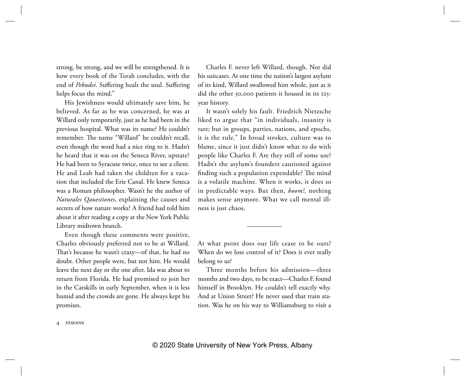strong, be strong, and we will be strengthened. It is how every book of the Torah concludes, with the end of *Pekudei*. Suffering heals the soul. Suffering helps focus the mind."

His Jewishness would ultimately save him, he believed. As far as he was concerned, he was at Willard only temporarily, just as he had been in the previous hospital. What was its name? He couldn't remember. The name "Willard" he couldn't recall, even though the word had a nice ring to it. Hadn't he heard that it was on the Seneca River, upstate? He had been to Syracuse twice, once to see a client. He and Leah had taken the children for a vacation that included the Erie Canal. He knew Seneca was a Roman philosopher. Wasn't he the author of *Naturales Qauestiones*, explaining the causes and secrets of how nature works? A friend had told him about it after reading a copy at the New York Public Library midtown branch.

Even though these comments were positive, Charles obviously preferred not to be at Willard. That's because he wasn't crazy—of that, he had no doubt. Other people were, but not him. He would leave the next day or the one after. Ida was about to return from Florida. He had promised to join her in the Catskills in early September, when it is less humid and the crowds are gone. He always kept his promises.

Charles F. never left Willard, though. Nor did his suitcases. At one time the nation's largest asylum of its kind, Willard swallowed him whole, just as it did the other 50,000 patients it housed in its 125 year history.

It wasn't solely his fault. Friedrich Nietzsche liked to argue that "in individuals, insanity is rare; but in groups, parties, nations, and epochs, it is the rule." In broad strokes, culture was to blame, since it just didn't know what to do with people like Charles F. Are they still of some use? Hadn't the asylum's founders cautioned against finding such a population expendable? The mind is a volatile machine. When it works, it does so in predictable ways. But then, *boom!*, nothing makes sense anymore. What we call mental illness is just chaos.

At what point does our life cease to be ours? When do we lose control of it? Does it ever really belong to us?

Three months before his admission—three months and two days, to be exact—Charles F. found himself in Brooklyn. He couldn't tell exactly why. And at Union Street? He never used that train station. Was he on his way to Williamsburg to visit a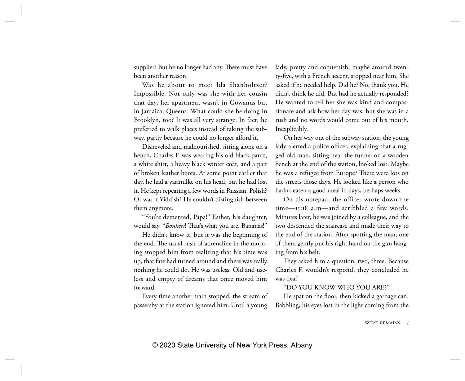supplier? But he no longer had any. There must have been another reason.

Was he about to meet Ida Shanholtzer? Impossible. Not only was she with her cousin that day, her apartment wasn't in Gowanus but in Jamaica, Queens. What could she be doing in Brooklyn, too? It was all very strange. In fact, he preferred to walk places instead of taking the subway, partly because he could no longer afford it.

Disheveled and malnourished, sitting alone on a bench, Charles F. was wearing his old black pants, a white shirt, a heavy black winter coat, and a pair of broken leather boots. At some point earlier that day, he had a yarmulke on his head, but he had lost it. He kept repeating a few words in Russian. Polish? Or was it Yiddish? He couldn't distinguish between them anymore.

"You're demented, Papa!" Esther, his daughter, would say. "*Bonkers*! That's what you are. Bananas!"

He didn't know it, but it was the beginning of the end. The usual rush of adrenaline in the morning stopped him from realizing that his time was up, that fate had turned around and there was really nothing he could do. He was useless. Old and useless and empty of dreams that once moved him forward.

Every time another train stopped, the stream of passersby at the station ignored him. Until a young

lady, pretty and coquettish, maybe around twenty-five, with a French accent, stopped near him. She asked if he needed help. Did he? No, thank you. He didn't think he did. But had he actually responded? He wanted to tell her she was kind and compassionate and ask how her day was, but she was in a rush and no words would come out of his mouth. Inexplicably.

On her way out of the subway station, the young lady alerted a police officer, explaining that a rugged old man, sitting near the tunnel on a wooden bench at the end of the station, looked lost. Maybe he was a refugee from Europe? There were lots on the streets those days. He looked like a person who hadn't eaten a good meal in days, perhaps weeks.

On his notepad, the officer wrote down the time—11:18 a.m—and scribbled a few words. Minutes later, he was joined by a colleague, and the two descended the staircase and made their way to the end of the station. After spotting the man, one of them gently put his right hand on the gun hanging from his belt.

They asked him a question, two, three. Because Charles F. wouldn't respond, they concluded he was deaf.

#### "DO YOU KNOW WHO YOU ARE?"

He spat on the floor, then kicked a garbage can. Babbling, his eyes lost in the light coming from the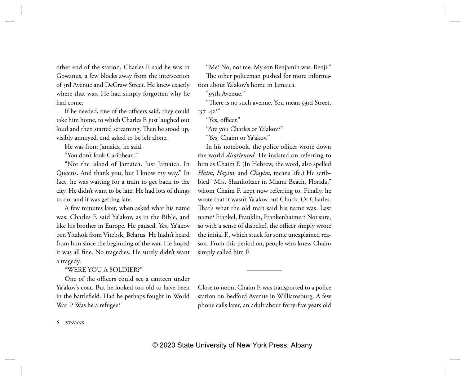other end of the station, Charles F. said he was in Gowanus, a few blocks away from the intersection of 3rd Avenue and DeGraw Street. He knew exactly where that was. He had simply forgotten why he had come.

If he needed, one of the officers said, they could take him home, to which Charles F. just laughed out loud and then started screaming. Then he stood up, visibly annoyed, and asked to be left alone.

He was from Jamaica, he said.

"You don't look Caribbean."

"Not the island of Jamaica. Just Jamaica. In Queens. And thank you, but I know my way." In fact, he was waiting for a train to get back to the city. He didn't want to be late. He had lots of things to do, and it was getting late.

A few minutes later, when asked what his name was, Charles F. said Ya'akov, as in the Bible, and like his brother in Europe. He paused. Yes, Ya'akov ben Yitzhok from Vitebsk, Belarus. He hadn't heard from him since the beginning of the war. He hoped it was all fine. No tragedies. He surely didn't want a tragedy.

### "WERE YOU A SOLDIER?"

One of the officers could see a canteen under Ya'akov's coat. But he looked too old to have been in the battlefield. Had he perhaps fought in World War I? Was he a refugee?

"Me? No, not me. My son Benjamin was. Benji." The other policeman pushed for more information about Ya'akov's home in Jamaica.

"95th Avenue."

"There is no such avenue. You mean 93rd Street,  $157 - 42$ ?"

"Yes, officer."

"Are you Charles or Ya'akov?"

"Yes, Chaim or Ya'akov."

In his notebook, the police officer wrote down the world *disoriented*. He insisted on referring to him as Chaim F. (In Hebrew, the word, also spelled *Haim*, *Hayim*, and *Chayim*, means life.) He scribbled "Mrs. Shanholtzer in Miami Beach, Florida," whom Chaim F. kept now referring to. Finally, he wrote that it wasn't Ya'akov but Chuck. Or Charles. That's what the old man said his name was. Last name? Frankel, Franklin, Frankenhaimer? Not sure, so with a sense of disbelief, the officer simply wrote the initial F., which stuck for some unexplained reason. From this period on, people who knew Chaim simply called him F.

Close to noon, Chaim F. was transported to a police station on Bedford Avenue in Williamsburg. A few phone calls later, an adult about forty-five years old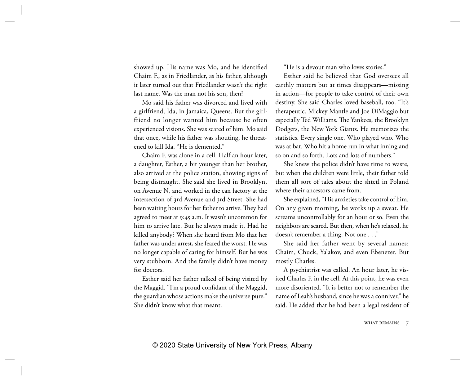showed up. His name was Mo, and he identified Chaim F., as in Friedlander, as his father, although it later turned out that Friedlander wasn't the right last name. Was the man not his son, then?

Mo said his father was divorced and lived with a girlfriend, Ida, in Jamaica, Queens. But the girlfriend no longer wanted him because he often experienced visions. She was scared of him. Mo said that once, while his father was shouting, he threatened to kill Ida. "He is demented."

Chaim F. was alone in a cell. Half an hour later, a daughter, Esther, a bit younger than her brother, also arrived at the police station, showing signs of being distraught. She said she lived in Brooklyn, on Avenue N, and worked in the can factory at the intersection of 3rd Avenue and 3rd Street. She had been waiting hours for her father to arrive. They had agreed to meet at 9:45 a.m. It wasn't uncommon for him to arrive late. But he always made it. Had he killed anybody? When she heard from Mo that her father was under arrest, she feared the worst. He was no longer capable of caring for himself. But he was very stubborn. And the family didn't have money for doctors.

Esther said her father talked of being visited by the Maggid. "I'm a proud confidant of the Maggid, the guardian whose actions make the universe pure." She didn't know what that meant.

"He is a devout man who loves stories."

Esther said he believed that God oversees all earthly matters but at times disappears—missing in action—for people to take control of their own destiny. She said Charles loved baseball, too. "It's therapeutic. Mickey Mantle and Joe DiMaggio but especially Ted Williams. The Yankees, the Brooklyn Dodgers, the New York Giants. He memorizes the statistics. Every single one. Who played who. Who was at bat. Who hit a home run in what inning and so on and so forth. Lots and lots of numbers."

She knew the police didn't have time to waste, but when the children were little, their father told them all sort of tales about the shtetl in Poland where their ancestors came from.

She explained, "His anxieties take control of him. On any given morning, he works up a sweat. He screams uncontrollably for an hour or so. Even the neighbors are scared. But then, when he's relaxed, he doesn't remember a thing. Not one . . ."

She said her father went by several names: Chaim, Chuck, Ya'akov, and even Ebenezer. But mostly Charles.

A psychiatrist was called. An hour later, he visited Charles F. in the cell. At this point, he was even more disoriented. "It is better not to remember the name of Leah's husband, since he was a conniver," he said. He added that he had been a legal resident of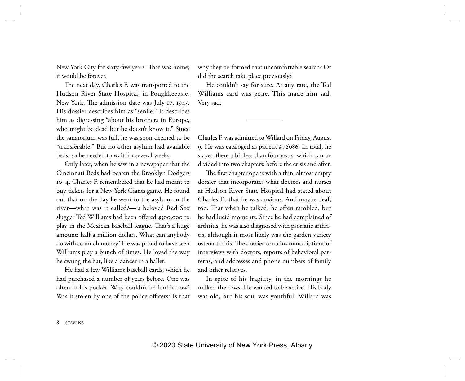New York City for sixty-five years. That was home; it would be forever.

The next day, Charles F. was transported to the Hudson River State Hospital, in Poughkeepsie, New York. The admission date was July 17, 1945. His dossier describes him as "senile." It describes him as digressing "about his brothers in Europe, who might be dead but he doesn't know it." Since the sanatorium was full, he was soon deemed to be "transferable." But no other asylum had available beds, so he needed to wait for several weeks.

Only later, when he saw in a newspaper that the Cincinnati Reds had beaten the Brooklyn Dodgers 10–4, Charles F. remembered that he had meant to buy tickets for a New York Giants game. He found out that on the day he went to the asylum on the river—what was it called?—is beloved Red Sox slugger Ted Williams had been offered \$500,000 to play in the Mexican baseball league. That's a huge amount: half a million dollars. What can anybody do with so much money? He was proud to have seen Williams play a bunch of times. He loved the way he swung the bat, like a dancer in a ballet.

He had a few Williams baseball cards, which he had purchased a number of years before. One was often in his pocket. Why couldn't he find it now? Was it stolen by one of the police officers? Is that why they performed that uncomfortable search? Or did the search take place previously?

He couldn't say for sure. At any rate, the Ted Williams card was gone. This made him sad. Very sad.

Charles F. was admitted to Willard on Friday, August 9. He was cataloged as patient #76086. In total, he stayed there a bit less than four years, which can be divided into two chapters: before the crisis and after.

The first chapter opens with a thin, almost empty dossier that incorporates what doctors and nurses at Hudson River State Hospital had stated about Charles F.: that he was anxious. And maybe deaf, too. That when he talked, he often rambled, but he had lucid moments. Since he had complained of arthritis, he was also diagnosed with psoriatic arthritis, although it most likely was the garden variety osteoarthritis. The dossier contains transcriptions of interviews with doctors, reports of behavioral patterns, and addresses and phone numbers of family and other relatives.

In spite of his fragility, in the mornings he milked the cows. He wanted to be active. His body was old, but his soul was youthful. Willard was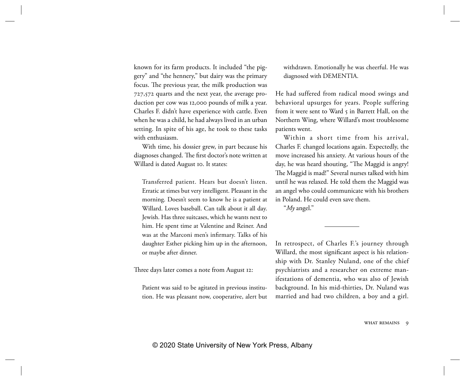known for its farm products. It included "the piggery" and "the hennery," but dairy was the primary focus. The previous year, the milk production was 727,572 quarts and the next year, the average production per cow was 12,000 pounds of milk a year. Charles F. didn't have experience with cattle. Even when he was a child, he had always lived in an urban setting. In spite of his age, he took to these tasks with enthusiasm.

With time, his dossier grew, in part because his diagnoses changed. The first doctor's note written at Willard is dated August 10. It states:

Transferred patient. Hears but doesn't listen. Erratic at times but very intelligent. Pleasant in the morning. Doesn't seem to know he is a patient at Willard. Loves baseball. Can talk about it all day. Jewish. Has three suitcases, which he wants next to him. He spent time at Valentine and Reiner. And was at the Marconi men's infirmary. Talks of his daughter Esther picking him up in the afternoon, or maybe after dinner.

Three days later comes a note from August 12:

Patient was said to be agitated in previous institution. He was pleasant now, cooperative, alert but withdrawn. Emotionally he was cheerful. He was diagnosed with DEMENTIA.

He had suffered from radical mood swings and behavioral upsurges for years. People suffering from it were sent to Ward 5 in Barrett Hall, on the Northern Wing, where Willard's most troublesome patients went.

Within a short time from his arrival, Charles F. changed locations again. Expectedly, the move increased his anxiety. At various hours of the day, he was heard shouting, "The Maggid is angry! The Maggid is mad!" Several nurses talked with him until he was relaxed. He told them the Maggid was an angel who could communicate with his brothers in Poland. He could even save them.

"*My* angel."

In retrospect, of Charles F.'s journey through Willard, the most significant aspect is his relationship with Dr. Stanley Nuland, one of the chief psychiatrists and a researcher on extreme manifestations of dementia, who was also of Jewish background. In his mid-thirties, Dr. Nuland was married and had two children, a boy and a girl.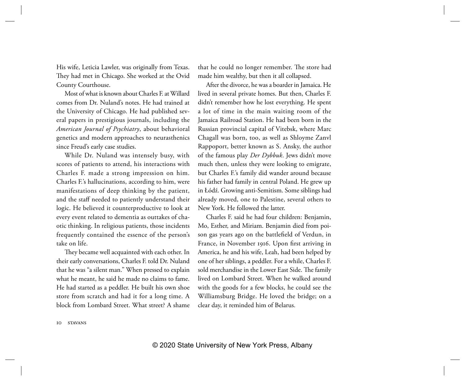His wife, Leticia Lawler, was originally from Texas. They had met in Chicago. She worked at the Ovid County Courthouse.

Most of what is known about Charles F. at Willard comes from Dr. Nuland's notes. He had trained at the University of Chicago. He had published several papers in prestigious journals, including the *American Journal of Psychiatry*, about behavioral genetics and modern approaches to neurasthenics since Freud's early case studies.

While Dr. Nuland was intensely busy, with scores of patients to attend, his interactions with Charles F. made a strong impression on him. Charles F.'s hallucinations, according to him, were manifestations of deep thinking by the patient, and the staff needed to patiently understand their logic. He believed it counterproductive to look at every event related to dementia as outtakes of chaotic thinking. In religious patients, those incidents frequently contained the essence of the person's take on life.

They became well acquainted with each other. In their early conversations, Charles F. told Dr. Nuland that he was "a silent man." When pressed to explain what he meant, he said he made no claims to fame. He had started as a peddler. He built his own shoe store from scratch and had it for a long time. A block from Lombard Street. What street? A shame that he could no longer remember. The store had made him wealthy, but then it all collapsed.

After the divorce, he was a boarder in Jamaica. He lived in several private homes. But then, Charles F. didn't remember how he lost everything. He spent a lot of time in the main waiting room of the Jamaica Railroad Station. He had been born in the Russian provincial capital of Vitebsk, where Marc Chagall was born, too, as well as Shloyme Zanvl Rappoport, better known as S. Ansky, the author of the famous play *Der Dybbuk*. Jews didn't move much then, unless they were looking to emigrate, but Charles F.'s family did wander around because his father had family in central Poland. He grew up in Łódź. Growing anti-Semitism. Some siblings had already moved, one to Palestine, several others to New York. He followed the latter.

Charles F. said he had four children: Benjamin, Mo, Esther, and Miriam. Benjamin died from poison gas years ago on the battlefield of Verdun, in France, in November 1916. Upon first arriving in America, he and his wife, Leah, had been helped by one of her siblings, a peddler. For a while, Charles F. sold merchandise in the Lower East Side. The family lived on Lombard Street. When he walked around with the goods for a few blocks, he could see the Williamsburg Bridge. He loved the bridge; on a clear day, it reminded him of Belarus.

10 stavans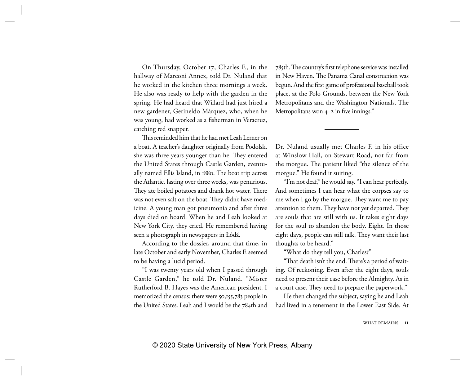On Thursday, October 17, Charles F., in the hallway of Marconi Annex, told Dr. Nuland that he worked in the kitchen three mornings a week. He also was ready to help with the garden in the spring. He had heard that Willard had just hired a new gardener, Gerineldo Márquez, who, when he was young, had worked as a fisherman in Veracruz, catching red snapper.

This reminded him that he had met Leah Lerner on a boat. A teacher's daughter originally from Podolsk, she was three years younger than he. They entered the United States through Castle Garden, eventually named Ellis Island, in 1880. The boat trip across the Atlantic, lasting over three weeks, was penurious. They ate boiled potatoes and drank hot water. There was not even salt on the boat. They didn't have medicine. A young man got pneumonia and after three days died on board. When he and Leah looked at New York City, they cried. He remembered having seen a photograph in newspapers in Łódź.

According to the dossier, around that time, in late October and early November, Charles F. seemed to be having a lucid period.

"I was twenty years old when I passed through Castle Garden," he told Dr. Nuland. "Mister Rutherford B. Hayes was the American president. I memorized the census: there were 50,155,783 people in the United States. Leah and I would be the 784th and

785th. The country's first telephone service was installed in New Haven. The Panama Canal construction was begun. And the first game of professional baseball took place, at the Polo Grounds, between the New York Metropolitans and the Washington Nationals. The Metropolitans won 4–2 in five innings."

Dr. Nuland usually met Charles F. in his office at Winslow Hall, on Stewart Road, not far from the morgue. The patient liked "the silence of the morgue." He found it suiting.

"I'm not deaf," he would say. "I can hear perfectly. And sometimes I can hear what the corpses say to me when I go by the morgue. They want me to pay attention to them. They have not yet departed. They are souls that are still with us. It takes eight days for the soul to abandon the body. Eight. In those eight days, people can still talk. They want their last thoughts to be heard."

"What do they tell you, Charles?"

"That death isn't the end. There's a period of waiting. Of reckoning. Even after the eight days, souls need to present their case before the Almighty. As in a court case. They need to prepare the paperwork."

He then changed the subject, saying he and Leah had lived in a tenement in the Lower East Side. At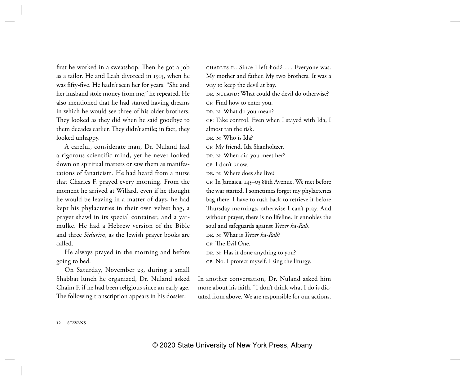first he worked in a sweatshop. Then he got a job as a tailor. He and Leah divorced in 1915, when he was fifty-five. He hadn't seen her for years. "She and her husband stole money from me," he repeated. He also mentioned that he had started having dreams in which he would see three of his older brothers. They looked as they did when he said goodbye to them decades earlier. They didn't smile; in fact, they looked unhappy.

A careful, considerate man, Dr. Nuland had a rigorous scientific mind, yet he never looked down on spiritual matters or saw them as manifestations of fanaticism. He had heard from a nurse that Charles F. prayed every morning. From the moment he arrived at Willard, even if he thought he would be leaving in a matter of days, he had kept his phylacteries in their own velvet bag, a prayer shawl in its special container, and a yarmulke. He had a Hebrew version of the Bible and three *Sidurim*, as the Jewish prayer books are called.

He always prayed in the morning and before going to bed.

On Saturday, November 23, during a small Shabbat lunch he organized, Dr. Nuland asked Chaim F. if he had been religious since an early age. The following transcription appears in his dossier:

CHARLES F.: Since I left Łódź.... Everyone was. My mother and father. My two brothers. It was a way to keep the devil at bay. DR. NULAND: What could the devil do otherwise? CF: Find how to enter you. DR. N: What do you mean? CF: Take control. Even when I stayed with Ida, I almost ran the risk. Dr. N: Who is Ida? CF: My friend, Ida Shanholtzer. DR. N: When did you meet her?  $CF$  I don't know. Dr. N: Where does she live? CF : In Jamaica. 145–03 88th Avenue. We met before the war started. I sometimes forget my phylacteries bag there. I have to rush back to retrieve it before Thursday mornings, otherwise I can't pray. And without prayer, there is no lifeline. It ennobles the soul and safeguards against *Yetzer ha-Rah*. Dr. N: What is *Yetzer ha-Rah*?  $CF$  The Evil One. DR. N: Has it done anything to you? CF: No. I protect myself. I sing the liturgy.

In another conversation, Dr. Nuland asked him more about his faith. "I don't think what I do is dictated from above. We are responsible for our actions.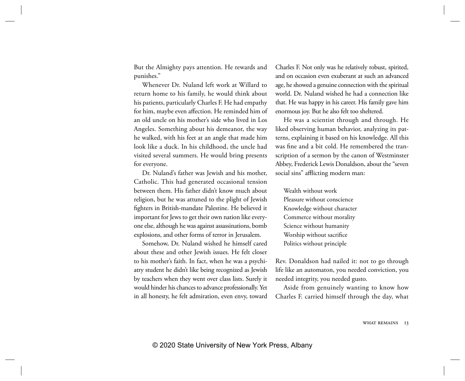But the Almighty pays attention. He rewards and punishes."

Whenever Dr. Nuland left work at Willard to return home to his family, he would think about his patients, particularly Charles F. He had empathy for him, maybe even affection. He reminded him of an old uncle on his mother's side who lived in Los Angeles. Something about his demeanor, the way he walked, with his feet at an angle that made him look like a duck. In his childhood, the uncle had visited several summers. He would bring presents for everyone.

Dr. Nuland's father was Jewish and his mother, Catholic. This had generated occasional tension between them. His father didn't know much about religion, but he was attuned to the plight of Jewish fighters in British-mandate Palestine. He believed it important for Jews to get their own nation like everyone else, although he was against assassinations, bomb explosions, and other forms of terror in Jerusalem.

Somehow, Dr. Nuland wished he himself cared about these and other Jewish issues. He felt closer to his mother's faith. In fact, when he was a psychiatry student he didn't like being recognized as Jewish by teachers when they went over class lists. Surely it would hinder his chances to advance professionally. Yet in all honesty, he felt admiration, even envy, toward Charles F. Not only was he relatively robust, spirited, and on occasion even exuberant at such an advanced age, he showed a genuine connection with the spiritual world. Dr. Nuland wished he had a connection like that. He was happy in his career. His family gave him enormous joy. But he also felt too sheltered.

He was a scientist through and through. He liked observing human behavior, analyzing its patterns, explaining it based on his knowledge. All this was fine and a bit cold. He remembered the transcription of a sermon by the canon of Westminster Abbey, Frederick Lewis Donaldson, about the "seven social sins" afflicting modern man:

Wealth without work Pleasure without conscience Knowledge without character Commerce without morality Science without humanity Worship without sacrifice Politics without principle

Rev. Donaldson had nailed it: not to go through life like an automaton, you needed conviction, you needed integrity, you needed gusto.

Aside from genuinely wanting to know how Charles F. carried himself through the day, what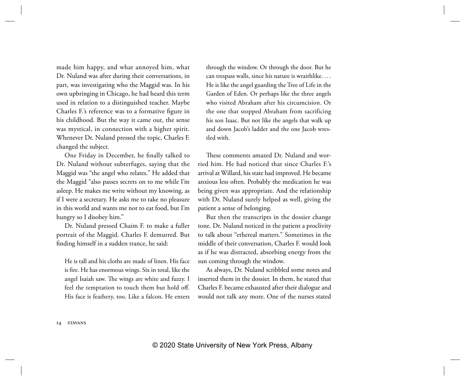made him happy, and what annoyed him, what Dr. Nuland was after during their conversations, in part, was investigating who the Maggid was. In his own upbringing in Chicago, he had heard this term used in relation to a distinguished teacher. Maybe Charles F.'s reference was to a formative figure in his childhood. But the way it came out, the sense was mystical, in connection with a higher spirit. Whenever Dr. Nuland pressed the topic, Charles F. changed the subject.

One Friday in December, he finally talked to Dr. Nuland without subterfuges, saying that the Maggid was "the angel who relates." He added that the Maggid "also passes secrets on to me while I'm asleep. He makes me write without my knowing, as if I were a secretary. He asks me to take no pleasure in this world and wants me not to eat food, but I'm hungry so I disobey him."

Dr. Nuland pressed Chaim F. to make a fuller portrait of the Maggid. Charles F. demurred. But finding himself in a sudden trance, he said:

He is tall and his cloths are made of linen. His face is fire. He has enormous wings. Six in total, like the angel Isaiah saw. The wings are white and fuzzy. I feel the temptation to touch them but hold off. His face is feathery, too. Like a falcon. He enters through the window. Or through the door. But he can trespass walls, since his nature is wraithlike. . . . He is like the angel guarding the Tree of Life in the Garden of Eden. Or perhaps like the three angels who visited Abraham after his circumcision. Or the one that stopped Abraham from sacrificing his son Isaac. But not like the angels that walk up and down Jacob's ladder and the one Jacob wrestled with.

These comments amazed Dr. Nuland and worried him. He had noticed that since Charles F.'s arrival at Willard, his state had improved. He became anxious less often. Probably the medication he was being given was appropriate. And the relationship with Dr. Nuland surely helped as well, giving the patient a sense of belonging.

But then the transcripts in the dossier change tone. Dr. Nuland noticed in the patient a proclivity to talk about "ethereal matters." Sometimes in the middle of their conversation, Charles F. would look as if he was distracted, absorbing energy from the sun coming through the window.

As always, Dr. Nuland scribbled some notes and inserted them in the dossier. In them, he stated that Charles F. became exhausted after their dialogue and would not talk any more. One of the nurses stated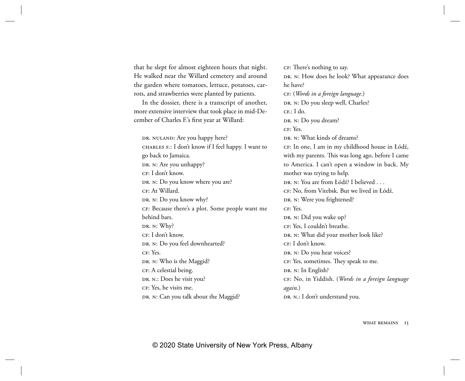that he slept for almost eighteen hours that night. He walked near the Willard cemetery and around the garden where tomatoes, lettuce, potatoes, carrots, and strawberries were planted by patients.

In the dossier, there is a transcript of another, more extensive interview that took place in mid-December of Charles F.'s first year at Willard:

DR. NULAND: Are you happy here? CHARLES F.: I don't know if I feel happy. I want to go back to Jamaica. DR. N: Are you unhappy? CF: I don't know. DR. N: Do you know where you are? CF: At Willard. DR. N: Do you know why? CF : Because there's a plot. Some people want me behind bars. DR. N: Why? CF: I don't know. DR. N: Do you feel downhearted? CF: Yes. DR. N: Who is the Maggid? CF: A celestial being. DR. N.: Does he visit you? CF: Yes, he visits me. DR. N: Can you talk about the Maggid?

CF: There's nothing to say. DR. N: How does he look? What appearance does he have? CF : (*Words in a foreign language*.) DR. N: Do you sleep well, Charles?  $CF \cdot L$  do. DR. N: Do you dream?  $CFYes$ DR. N: What kinds of dreams? CF: In one, I am in my childhood house in Łódź, with my parents. This was long ago, before I came to America. I can't open a window in back. My mother was trying to help. Dr. N: You are from Łódź? I believed . . . CF : No, from Vitebsk. But we lived in Łódź. DR. N: Were you frightened? CF: Yes. DR. N: Did you wake up? CF: Yes, I couldn't breathe. DR. N: What did your mother look like? CF: I don't know. DR. N: Do you hear voices? CF: Yes, sometimes. They speak to me. DR. N: In English? CF : No, in Yiddish. (*Words in a foreign language again*.) DR. N.: I don't understand you.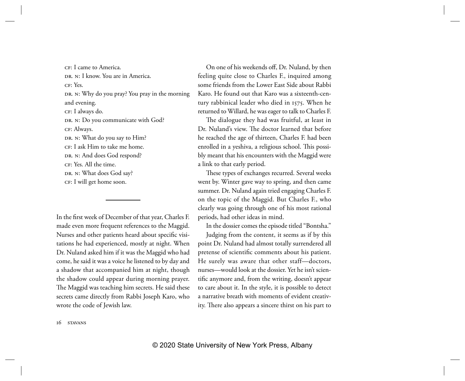CF: I came to America. Dr. N: I know. You are in America. CF: Yes. DR. N: Why do you pray? You pray in the morning and evening. CF: I always do. DR. N: Do you communicate with God? CF: Always. DR. N: What do you say to Him? CF: I ask Him to take me home. DR. N: And does God respond? CF : Yes. All the time. DR. N: What does God say? CF: I will get home soon.

In the first week of December of that year, Charles F. made even more frequent references to the Maggid. Nurses and other patients heard about specific visitations he had experienced, mostly at night. When Dr. Nuland asked him if it was the Maggid who had come, he said it was a voice he listened to by day and a shadow that accompanied him at night, though the shadow could appear during morning prayer. The Maggid was teaching him secrets. He said these secrets came directly from Rabbi Joseph Karo, who wrote the code of Jewish law.

On one of his weekends off, Dr. Nuland, by then feeling quite close to Charles F., inquired among some friends from the Lower East Side about Rabbi Karo. He found out that Karo was a sixteenth-century rabbinical leader who died in 1575. When he returned to Willard, he was eager to talk to Charles F.

The dialogue they had was fruitful, at least in Dr. Nuland's view. The doctor learned that before he reached the age of thirteen, Charles F. had been enrolled in a yeshiva, a religious school. This possibly meant that his encounters with the Maggid were a link to that early period.

These types of exchanges recurred. Several weeks went by. Winter gave way to spring, and then came summer. Dr. Nuland again tried engaging Charles F. on the topic of the Maggid. But Charles F., who clearly was going through one of his most rational periods, had other ideas in mind.

In the dossier comes the episode titled "Bontsha."

Judging from the content, it seems as if by this point Dr. Nuland had almost totally surrendered all pretense of scientific comments about his patient. He surely was aware that other staff—doctors, nurses—would look at the dossier. Yet he isn't scientific anymore and, from the writing, doesn't appear to care about it. In the style, it is possible to detect a narrative breath with moments of evident creativity. There also appears a sincere thirst on his part to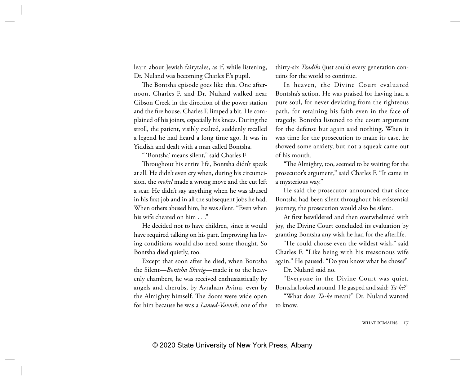learn about Jewish fairytales, as if, while listening, Dr. Nuland was becoming Charles F.'s pupil.

The Bontsha episode goes like this. One afternoon, Charles F. and Dr. Nuland walked near Gibson Creek in the direction of the power station and the fire house. Charles F. limped a bit. He complained of his joints, especially his knees. During the stroll, the patient, visibly exalted, suddenly recalled a legend he had heard a long time ago. It was in Yiddish and dealt with a man called Bontsha.

" 'Bontsha' means silent," said Charles F.

Throughout his entire life, Bontsha didn't speak at all. He didn't even cry when, during his circumcision, the *mohel* made a wrong move and the cut left a scar. He didn't say anything when he was abused in his first job and in all the subsequent jobs he had. When others abused him, he was silent. "Even when his wife cheated on him . . ."

He decided not to have children, since it would have required talking on his part. Improving his living conditions would also need some thought. So Bontsha died quietly, too.

Except that soon after he died, when Bontsha the Silent—*Bontsha Shveig*—made it to the heavenly chambers, he was received enthusiastically by angels and cherubs, by Avraham Avinu, even by the Almighty himself. The doors were wide open for him because he was a *Lamed-Vavnik*, one of the thirty-six *Tzadiks* (just souls) every generation contains for the world to continue.

In heaven, the Divine Court evaluated Bontsha's action. He was praised for having had a pure soul, for never deviating from the righteous path, for retaining his faith even in the face of tragedy. Bontsha listened to the court argument for the defense but again said nothing. When it was time for the prosecution to make its case, he showed some anxiety, but not a squeak came out of his mouth.

"The Almighty, too, seemed to be waiting for the prosecutor's argument," said Charles F. "It came in a mysterious way."

He said the prosecutor announced that since Bontsha had been silent throughout his existential journey, the prosecution would also be silent.

At first bewildered and then overwhelmed with joy, the Divine Court concluded its evaluation by granting Bontsha any wish he had for the afterlife.

"He could choose even the wildest wish," said Charles F. "Like being with his treasonous wife again." He paused. "Do you know what he chose?"

Dr. Nuland said no.

"Everyone in the Divine Court was quiet. Bontsha looked around. He gasped and said: *Ta-ke*?"

"What does *Ta-ke* mean?" Dr. Nuland wanted to know.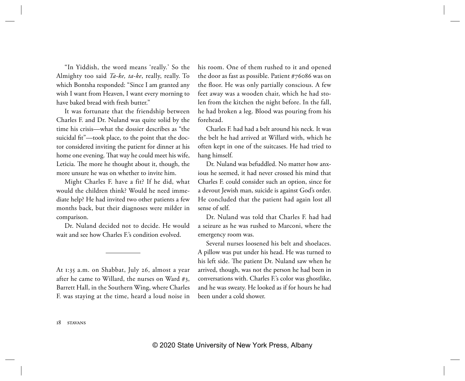"In Yiddish, the word means 'really.' So the Almighty too said *Ta-ke, ta-ke*, really, really. To which Bontsha responded: "Since I am granted any wish I want from Heaven, I want every morning to have baked bread with fresh butter."

It was fortunate that the friendship between Charles F. and Dr. Nuland was quite solid by the time his crisis—what the dossier describes as "the suicidal fit"—took place, to the point that the doctor considered inviting the patient for dinner at his home one evening. That way he could meet his wife, Leticia. The more he thought about it, though, the more unsure he was on whether to invite him.

Might Charles F. have a fit? If he did, what would the children think? Would he need immediate help? He had invited two other patients a few months back, but their diagnoses were milder in comparison.

Dr. Nuland decided not to decide. He would wait and see how Charles F.'s condition evolved.

At 1:35 a.m. on Shabbat, July 26, almost a year after he came to Willard, the nurses on Ward #3, Barrett Hall, in the Southern Wing, where Charles F. was staying at the time, heard a loud noise in his room. One of them rushed to it and opened the door as fast as possible. Patient #76086 was on the floor. He was only partially conscious. A few feet away was a wooden chair, which he had stolen from the kitchen the night before. In the fall, he had broken a leg. Blood was pouring from his forehead.

Charles F. had had a belt around his neck. It was the belt he had arrived at Willard with, which he often kept in one of the suitcases. He had tried to hang himself.

Dr. Nuland was befuddled. No matter how anxious he seemed, it had never crossed his mind that Charles F. could consider such an option, since for a devout Jewish man, suicide is against God's order. He concluded that the patient had again lost all sense of self.

Dr. Nuland was told that Charles F. had had a seizure as he was rushed to Marconi, where the emergency room was.

Several nurses loosened his belt and shoelaces. A pillow was put under his head. He was turned to his left side. The patient Dr. Nuland saw when he arrived, though, was not the person he had been in conversations with. Charles F.'s color was ghostlike, and he was sweaty. He looked as if for hours he had been under a cold shower.

18 stavans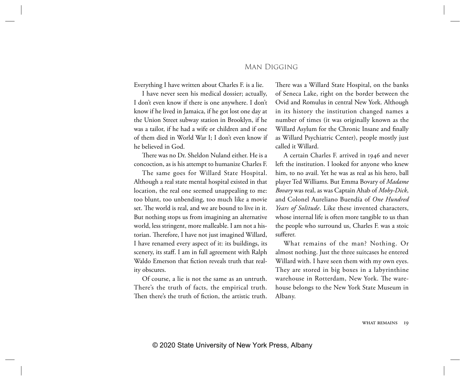## Man Digging

Everything I have written about Charles F. is a lie.

I have never seen his medical dossier; actually, I don't even know if there is one anywhere. I don't know if he lived in Jamaica, if he got lost one day at the Union Street subway station in Brooklyn, if he was a tailor, if he had a wife or children and if one of them died in World War I; I don't even know if he believed in God.

There was no Dr. Sheldon Nuland either. He is a concoction, as is his attempt to humanize Charles F.

The same goes for Willard State Hospital. Although a real state mental hospital existed in that location, the real one seemed unappealing to me: too blunt, too unbending, too much like a movie set. The world is real, and we are bound to live in it. But nothing stops us from imagining an alternative world, less stringent, more malleable. I am not a historian. Therefore, I have not just imagined Willard, I have renamed every aspect of it: its buildings, its scenery, its staff. I am in full agreement with Ralph Waldo Emerson that fiction reveals truth that reality obscures.

Of course, a lie is not the same as an untruth. There's the truth of facts, the empirical truth. Then there's the truth of fiction, the artistic truth.

There was a Willard State Hospital, on the banks of Seneca Lake, right on the border between the Ovid and Romulus in central New York. Although in its history the institution changed names a number of times (it was originally known as the Willard Asylum for the Chronic Insane and finally as Willard Psychiatric Center), people mostly just called it Willard.

A certain Charles F. arrived in 1946 and never left the institution. I looked for anyone who knew him, to no avail. Yet he was as real as his hero, ball player Ted Williams. But Emma Bovary of *Madame Bovary* was real, as was Captain Ahab of *Moby-Dick*, and Colonel Aureliano Buendía of *One Hundred Years of Solitude*. Like these invented characters, whose internal life is often more tangible to us than the people who surround us, Charles F. was a stoic sufferer.

What remains of the man? Nothing. Or almost nothing. Just the three suitcases he entered Willard with. I have seen them with my own eyes. They are stored in big boxes in a labyrinthine warehouse in Rotterdam, New York. The warehouse belongs to the New York State Museum in Albany.